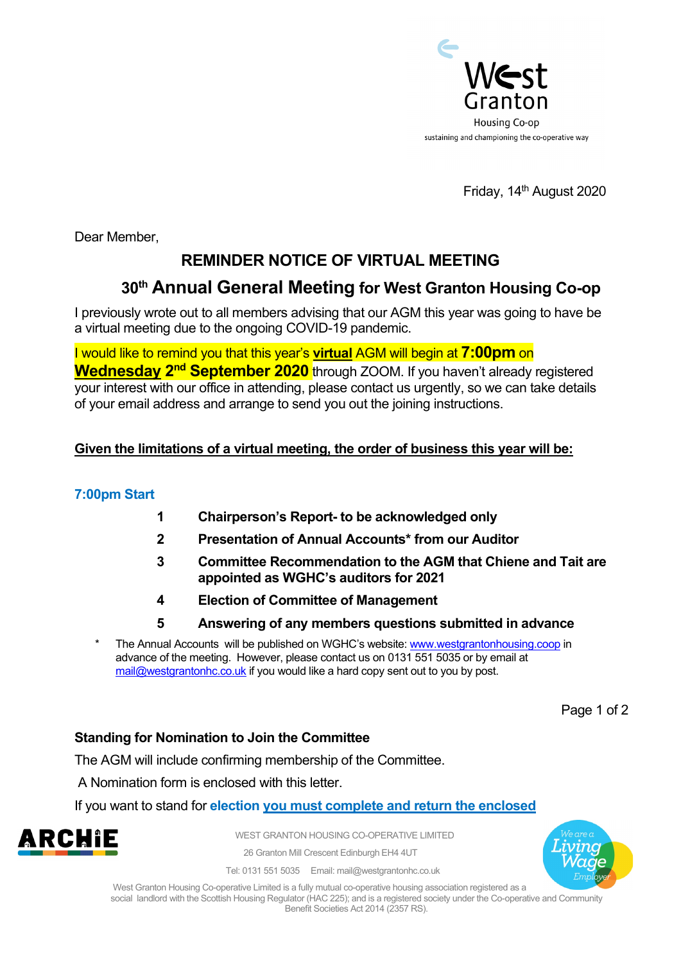

Friday, 14<sup>th</sup> August 2020

Dear Member,

# **REMINDER NOTICE OF VIRTUAL MEETING**

# **30th Annual General Meeting for West Granton Housing Co-op**

I previously wrote out to all members advising that our AGM this year was going to have be a virtual meeting due to the ongoing COVID-19 pandemic.

I would like to remind you that this year's **virtual** AGM will begin at **7:00pm** on **Wednesday 2<sup>nd</sup> September 2020** through ZOOM. If you haven't already registered your interest with our office in attending, please contact us urgently, so we can take details of your email address and arrange to send you out the joining instructions.

### **Given the limitations of a virtual meeting, the order of business this year will be:**

### **7:00pm Start**

- **1 Chairperson's Report- to be acknowledged only**
- **2 Presentation of Annual Accounts\* from our Auditor**
- **3 Committee Recommendation to the AGM that Chiene and Tait are appointed as WGHC's auditors for 2021**
- **4 Election of Committee of Management**
- **5 Answering of any members questions submitted in advance**
- The Annual Accounts will be published on WGHC's website[: www.westgrantonhousing.coop](http://www.westgrantonhousing.coop/) in advance of the meeting. However, please contact us on 0131 551 5035 or by email at [mail@westgrantonhc.co.uk](mailto:mail@westgrantonhc.co.uk) if you would like a hard copy sent out to you by post.

Page 1 of 2

### **Standing for Nomination to Join the Committee**

The AGM will include confirming membership of the Committee.

A Nomination form is enclosed with this letter.

If you want to stand for **election you must complete and return the enclosed** 



WEST GRANTON HOUSING CO-OPERATIVE LIMITED

26 Granton Mill Crescent Edinburgh EH4 4UT

Tel: 0131 551 5035 Email: mail@westgrantonhc.co.uk

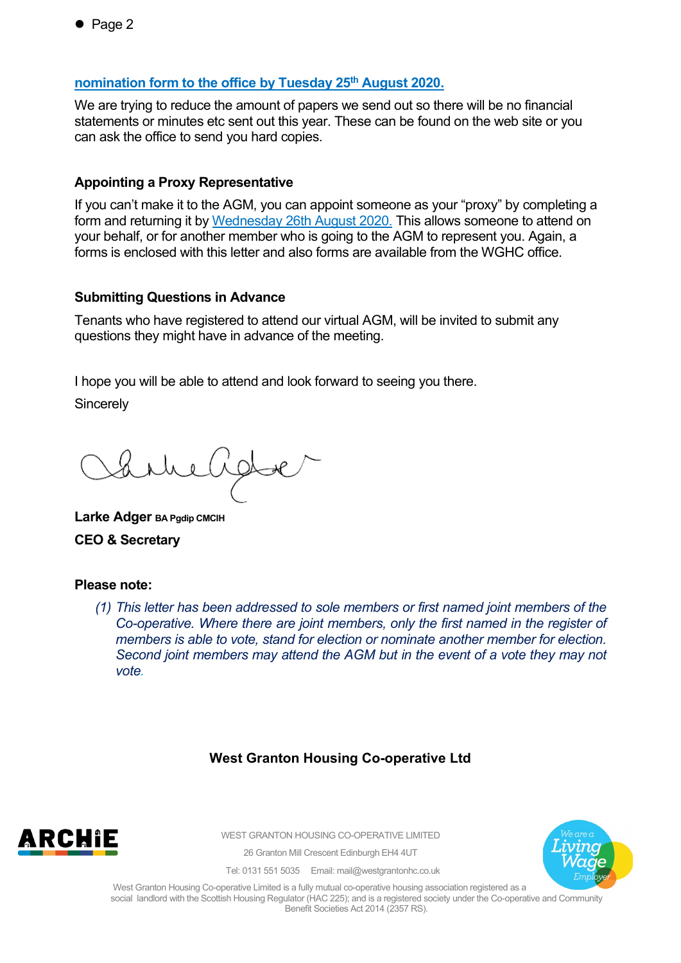### **nomination form to the office by Tuesday 25th August 2020.**

We are trying to reduce the amount of papers we send out so there will be no financial statements or minutes etc sent out this year. These can be found on the web site or you can ask the office to send you hard copies.

#### **Appointing a Proxy Representative**

If you can't make it to the AGM, you can appoint someone as your "proxy" by completing a form and returning it by Wednesday 26th August 2020. This allows someone to attend on your behalf, or for another member who is going to the AGM to represent you. Again, a forms is enclosed with this letter and also forms are available from the WGHC office.

#### **Submitting Questions in Advance**

Tenants who have registered to attend our virtual AGM, will be invited to submit any questions they might have in advance of the meeting.

I hope you will be able to attend and look forward to seeing you there.

**Sincerely** 

iste

**Larke Adger BA Pgdip CMCIH CEO & Secretary**

#### **Please note:**

*(1) This letter has been addressed to sole members or first named joint members of the Co-operative. Where there are joint members, only the first named in the register of members is able to vote, stand for election or nominate another member for election. Second joint members may attend the AGM but in the event of a vote they may not vote.* 

### **West Granton Housing Co-operative Ltd**



WEST GRANTON HOUSING CO-OPERATIVE LIMITED

26 Granton Mill Crescent Edinburgh EH4 4UT



Tel: 0131 551 5035 Email: mail@westgrantonhc.co.uk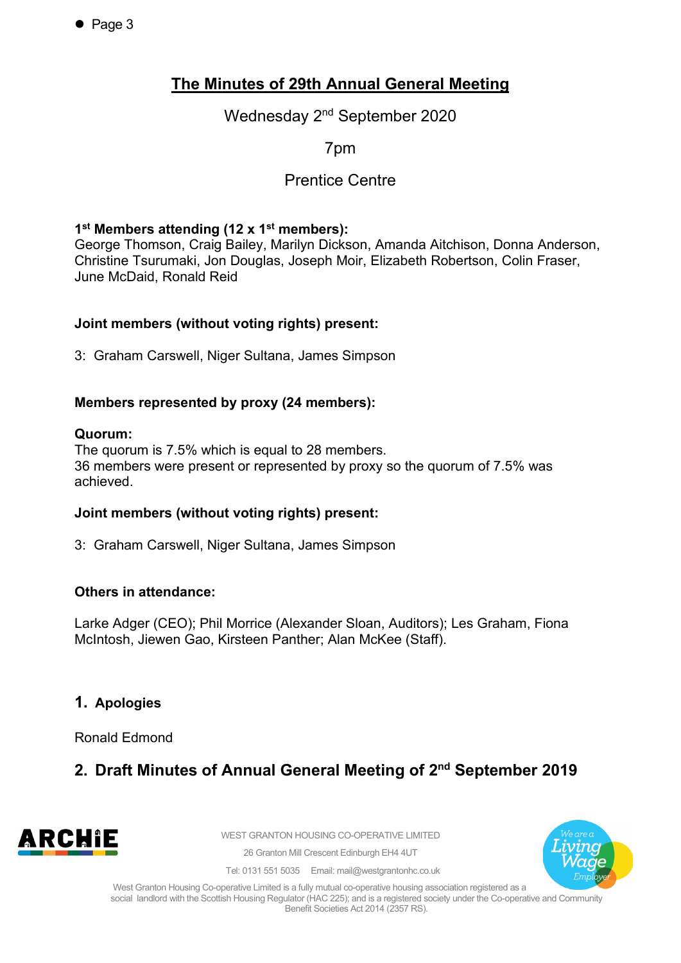$\bullet$  Page 3

## **The Minutes of 29th Annual General Meeting**

Wednesday 2nd September 2020

7pm

## Prentice Centre

#### **1st Members attending (12 x 1st members):**

George Thomson, Craig Bailey, Marilyn Dickson, Amanda Aitchison, Donna Anderson, Christine Tsurumaki, Jon Douglas, Joseph Moir, Elizabeth Robertson, Colin Fraser, June McDaid, Ronald Reid

#### **Joint members (without voting rights) present:**

3: Graham Carswell, Niger Sultana, James Simpson

#### **Members represented by proxy (24 members):**

#### **Quorum:**

The quorum is 7.5% which is equal to 28 members. 36 members were present or represented by proxy so the quorum of 7.5% was achieved.

#### **Joint members (without voting rights) present:**

3: Graham Carswell, Niger Sultana, James Simpson

#### **Others in attendance:**

Larke Adger (CEO); Phil Morrice (Alexander Sloan, Auditors); Les Graham, Fiona McIntosh, Jiewen Gao, Kirsteen Panther; Alan McKee (Staff).

### **1. Apologies**

Ronald Edmond

## **2. Draft Minutes of Annual General Meeting of 2nd September 2019**



WEST GRANTON HOUSING CO-OPERATIVE LIMITED

26 Granton Mill Crescent Edinburgh EH4 4UT



Tel: 0131 551 5035 Email: mail@westgrantonhc.co.uk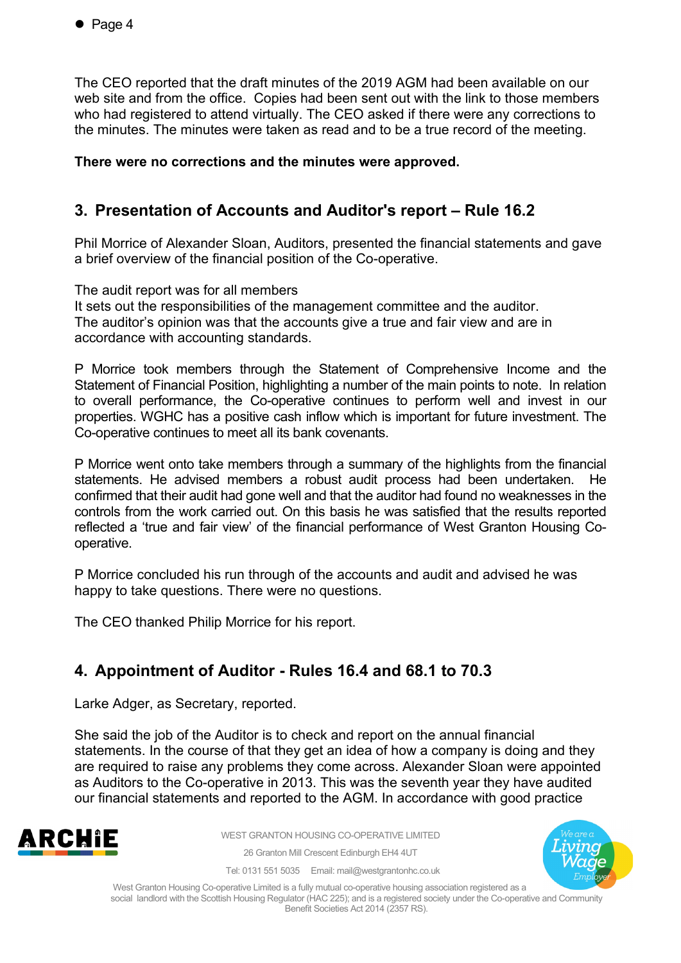The CEO reported that the draft minutes of the 2019 AGM had been available on our web site and from the office. Copies had been sent out with the link to those members who had registered to attend virtually. The CEO asked if there were any corrections to the minutes. The minutes were taken as read and to be a true record of the meeting.

#### **There were no corrections and the minutes were approved.**

## **3. Presentation of Accounts and Auditor's report – Rule 16.2**

Phil Morrice of Alexander Sloan, Auditors, presented the financial statements and gave a brief overview of the financial position of the Co-operative.

The audit report was for all members

It sets out the responsibilities of the management committee and the auditor. The auditor's opinion was that the accounts give a true and fair view and are in accordance with accounting standards.

P Morrice took members through the Statement of Comprehensive Income and the Statement of Financial Position, highlighting a number of the main points to note. In relation to overall performance, the Co-operative continues to perform well and invest in our properties. WGHC has a positive cash inflow which is important for future investment. The Co-operative continues to meet all its bank covenants.

P Morrice went onto take members through a summary of the highlights from the financial statements. He advised members a robust audit process had been undertaken. He confirmed that their audit had gone well and that the auditor had found no weaknesses in the controls from the work carried out. On this basis he was satisfied that the results reported reflected a 'true and fair view' of the financial performance of West Granton Housing Cooperative.

P Morrice concluded his run through of the accounts and audit and advised he was happy to take questions. There were no questions.

The CEO thanked Philip Morrice for his report.

## **4. Appointment of Auditor - Rules 16.4 and 68.1 to 70.3**

Larke Adger, as Secretary, reported.

She said the job of the Auditor is to check and report on the annual financial statements. In the course of that they get an idea of how a company is doing and they are required to raise any problems they come across. Alexander Sloan were appointed as Auditors to the Co-operative in 2013. This was the seventh year they have audited our financial statements and reported to the AGM. In accordance with good practice



WEST GRANTON HOUSING CO-OPERATIVE LIMITED

26 Granton Mill Crescent Edinburgh EH4 4UT Tel: 0131 551 5035 Email: mail@westgrantonhc.co.uk



West Granton Housing Co-operative Limited is a fully mutual co-operative housing association registered as a

social landlord with the Scottish Housing Regulator (HAC 225); and is a registered society under the Co-operative and Community Benefit Societies Act 2014 (2357 RS).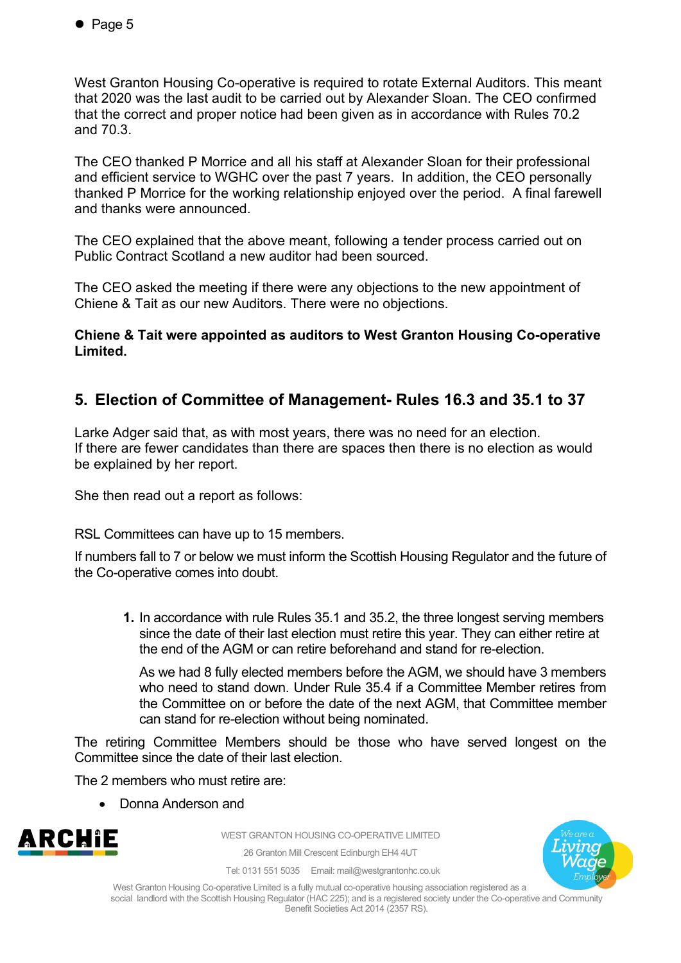West Granton Housing Co-operative is required to rotate External Auditors. This meant that 2020 was the last audit to be carried out by Alexander Sloan. The CEO confirmed that the correct and proper notice had been given as in accordance with Rules 70.2 and 70.3.

The CEO thanked P Morrice and all his staff at Alexander Sloan for their professional and efficient service to WGHC over the past 7 years. In addition, the CEO personally thanked P Morrice for the working relationship enjoyed over the period. A final farewell and thanks were announced.

The CEO explained that the above meant, following a tender process carried out on Public Contract Scotland a new auditor had been sourced.

The CEO asked the meeting if there were any objections to the new appointment of Chiene & Tait as our new Auditors. There were no objections.

**Chiene & Tait were appointed as auditors to West Granton Housing Co-operative Limited.**

## **5. Election of Committee of Management- Rules 16.3 and 35.1 to 37**

Larke Adger said that, as with most years, there was no need for an election. If there are fewer candidates than there are spaces then there is no election as would be explained by her report.

She then read out a report as follows:

RSL Committees can have up to 15 members.

If numbers fall to 7 or below we must inform the Scottish Housing Regulator and the future of the Co-operative comes into doubt.

**1.** In accordance with rule Rules 35.1 and 35.2, the three longest serving members since the date of their last election must retire this year. They can either retire at the end of the AGM or can retire beforehand and stand for re-election.

As we had 8 fully elected members before the AGM, we should have 3 members who need to stand down. Under Rule 35.4 if a Committee Member retires from the Committee on or before the date of the next AGM, that Committee member can stand for re-election without being nominated.

The retiring Committee Members should be those who have served longest on the Committee since the date of their last election.

The 2 members who must retire are:

• Donna Anderson and



WEST GRANTON HOUSING CO-OPERATIVE LIMITED

26 Granton Mill Crescent Edinburgh EH4 4UT



Tel: 0131 551 5035 Email: mail@westgrantonhc.co.uk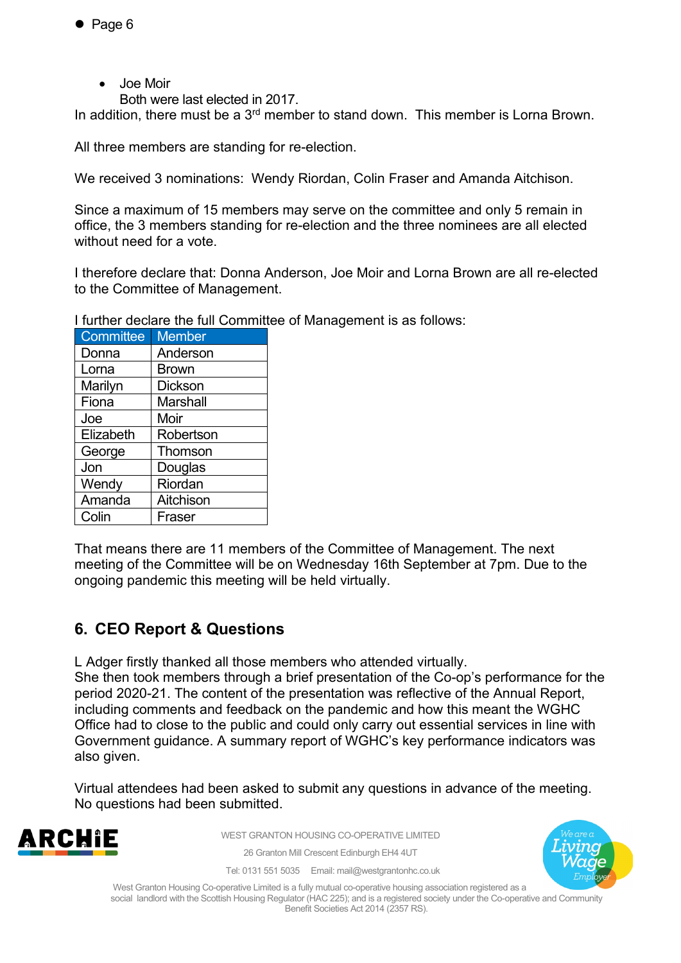- Page 6
	- Joe Moir
		- Both were last elected in 2017.

In addition, there must be a 3<sup>rd</sup> member to stand down. This member is Lorna Brown.

All three members are standing for re-election.

We received 3 nominations: Wendy Riordan, Colin Fraser and Amanda Aitchison.

Since a maximum of 15 members may serve on the committee and only 5 remain in office, the 3 members standing for re-election and the three nominees are all elected without need for a vote.

I therefore declare that: Donna Anderson, Joe Moir and Lorna Brown are all re-elected to the Committee of Management.

I further declare the full Committee of Management is as follows:

| <b>Committee</b> | <b>Member</b>   |
|------------------|-----------------|
| Donna            | Anderson        |
| Lorna            | <b>Brown</b>    |
| Marilyn          | <b>Dickson</b>  |
| Fiona            | <b>Marshall</b> |
| Joe              | Moir            |
| Elizabeth        | Robertson       |
| George           | Thomson         |
| Jon              | Douglas         |
| Wendy            | Riordan         |
| Amanda           | Aitchison       |
| Colin            | Fraser          |

That means there are 11 members of the Committee of Management. The next meeting of the Committee will be on Wednesday 16th September at 7pm. Due to the ongoing pandemic this meeting will be held virtually.

## **6. CEO Report & Questions**

L Adger firstly thanked all those members who attended virtually.

She then took members through a brief presentation of the Co-op's performance for the period 2020-21. The content of the presentation was reflective of the Annual Report, including comments and feedback on the pandemic and how this meant the WGHC Office had to close to the public and could only carry out essential services in line with Government guidance. A summary report of WGHC's key performance indicators was also given.

Virtual attendees had been asked to submit any questions in advance of the meeting. No questions had been submitted.



WEST GRANTON HOUSING CO-OPERATIVE LIMITED

26 Granton Mill Crescent Edinburgh EH4 4UT



Tel: 0131 551 5035 Email: mail@westgrantonhc.co.uk